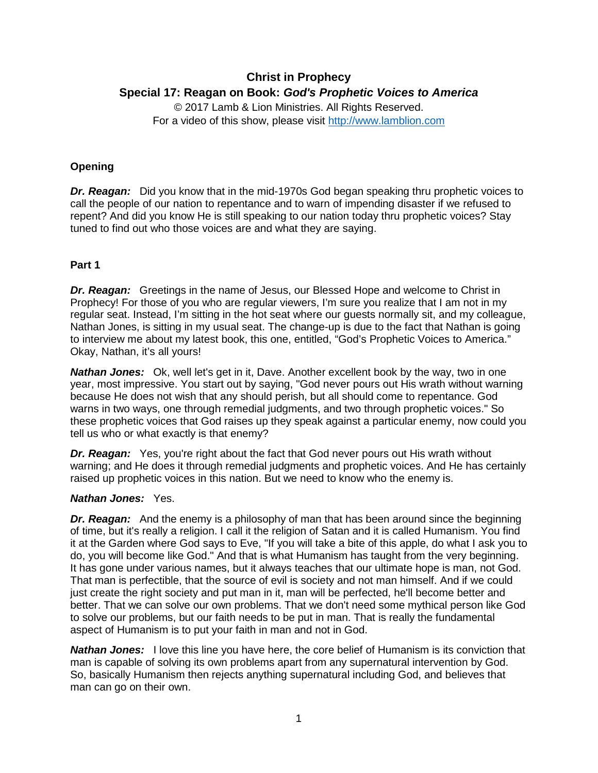# **Christ in Prophecy Special 17: Reagan on Book:** *God's Prophetic Voices to America*

© 2017 Lamb & Lion Ministries. All Rights Reserved. For a video of this show, please visit [http://www.lamblion.com](http://www.lamblion.com/)

# **Opening**

*Dr. Reagan:* Did you know that in the mid-1970s God began speaking thru prophetic voices to call the people of our nation to repentance and to warn of impending disaster if we refused to repent? And did you know He is still speaking to our nation today thru prophetic voices? Stay tuned to find out who those voices are and what they are saying.

# **Part 1**

**Dr. Reagan:** Greetings in the name of Jesus, our Blessed Hope and welcome to Christ in Prophecy! For those of you who are regular viewers, I'm sure you realize that I am not in my regular seat. Instead, I'm sitting in the hot seat where our guests normally sit, and my colleague, Nathan Jones, is sitting in my usual seat. The change-up is due to the fact that Nathan is going to interview me about my latest book, this one, entitled, "God's Prophetic Voices to America." Okay, Nathan, it's all yours!

**Nathan Jones:** Ok, well let's get in it, Dave. Another excellent book by the way, two in one year, most impressive. You start out by saying, "God never pours out His wrath without warning because He does not wish that any should perish, but all should come to repentance. God warns in two ways, one through remedial judgments, and two through prophetic voices." So these prophetic voices that God raises up they speak against a particular enemy, now could you tell us who or what exactly is that enemy?

*Dr. Reagan:* Yes, you're right about the fact that God never pours out His wrath without warning; and He does it through remedial judgments and prophetic voices. And He has certainly raised up prophetic voices in this nation. But we need to know who the enemy is.

### *Nathan Jones:* Yes.

*Dr. Reagan:* And the enemy is a philosophy of man that has been around since the beginning of time, but it's really a religion. I call it the religion of Satan and it is called Humanism. You find it at the Garden where God says to Eve, "If you will take a bite of this apple, do what I ask you to do, you will become like God." And that is what Humanism has taught from the very beginning. It has gone under various names, but it always teaches that our ultimate hope is man, not God. That man is perfectible, that the source of evil is society and not man himself. And if we could just create the right society and put man in it, man will be perfected, he'll become better and better. That we can solve our own problems. That we don't need some mythical person like God to solve our problems, but our faith needs to be put in man. That is really the fundamental aspect of Humanism is to put your faith in man and not in God.

*Nathan Jones:* I love this line you have here, the core belief of Humanism is its conviction that man is capable of solving its own problems apart from any supernatural intervention by God. So, basically Humanism then rejects anything supernatural including God, and believes that man can go on their own.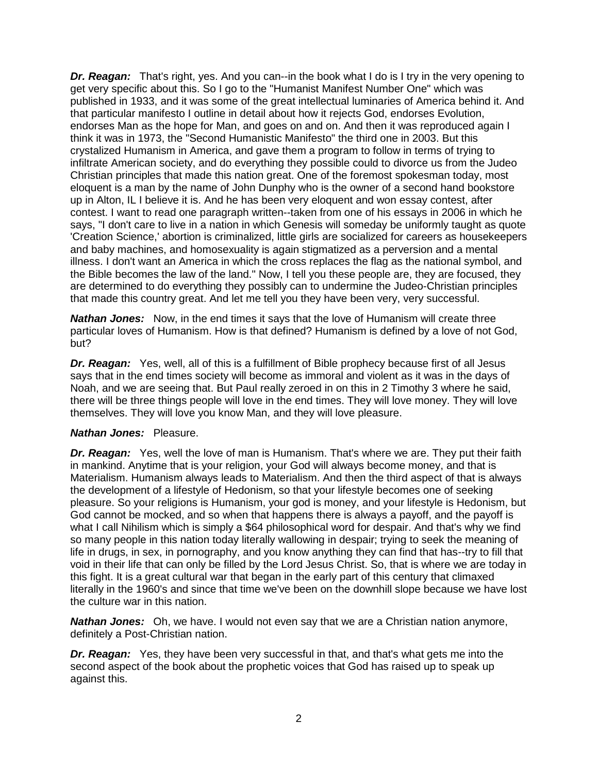*Dr. Reagan:* That's right, yes. And you can--in the book what I do is I try in the very opening to get very specific about this. So I go to the "Humanist Manifest Number One" which was published in 1933, and it was some of the great intellectual luminaries of America behind it. And that particular manifesto I outline in detail about how it rejects God, endorses Evolution, endorses Man as the hope for Man, and goes on and on. And then it was reproduced again I think it was in 1973, the "Second Humanistic Manifesto" the third one in 2003. But this crystalized Humanism in America, and gave them a program to follow in terms of trying to infiltrate American society, and do everything they possible could to divorce us from the Judeo Christian principles that made this nation great. One of the foremost spokesman today, most eloquent is a man by the name of John Dunphy who is the owner of a second hand bookstore up in Alton, IL I believe it is. And he has been very eloquent and won essay contest, after contest. I want to read one paragraph written--taken from one of his essays in 2006 in which he says, "I don't care to live in a nation in which Genesis will someday be uniformly taught as quote 'Creation Science,' abortion is criminalized, little girls are socialized for careers as housekeepers and baby machines, and homosexuality is again stigmatized as a perversion and a mental illness. I don't want an America in which the cross replaces the flag as the national symbol, and the Bible becomes the law of the land." Now, I tell you these people are, they are focused, they are determined to do everything they possibly can to undermine the Judeo-Christian principles that made this country great. And let me tell you they have been very, very successful.

**Nathan Jones:** Now, in the end times it says that the love of Humanism will create three particular loves of Humanism. How is that defined? Humanism is defined by a love of not God, but?

*Dr. Reagan:* Yes, well, all of this is a fulfillment of Bible prophecy because first of all Jesus says that in the end times society will become as immoral and violent as it was in the days of Noah, and we are seeing that. But Paul really zeroed in on this in 2 Timothy 3 where he said, there will be three things people will love in the end times. They will love money. They will love themselves. They will love you know Man, and they will love pleasure.

#### *Nathan Jones:* Pleasure.

*Dr. Reagan:* Yes, well the love of man is Humanism. That's where we are. They put their faith in mankind. Anytime that is your religion, your God will always become money, and that is Materialism. Humanism always leads to Materialism. And then the third aspect of that is always the development of a lifestyle of Hedonism, so that your lifestyle becomes one of seeking pleasure. So your religions is Humanism, your god is money, and your lifestyle is Hedonism, but God cannot be mocked, and so when that happens there is always a payoff, and the payoff is what I call Nihilism which is simply a \$64 philosophical word for despair. And that's why we find so many people in this nation today literally wallowing in despair; trying to seek the meaning of life in drugs, in sex, in pornography, and you know anything they can find that has--try to fill that void in their life that can only be filled by the Lord Jesus Christ. So, that is where we are today in this fight. It is a great cultural war that began in the early part of this century that climaxed literally in the 1960's and since that time we've been on the downhill slope because we have lost the culture war in this nation.

*Nathan Jones:* Oh, we have. I would not even say that we are a Christian nation anymore, definitely a Post-Christian nation.

*Dr. Reagan:* Yes, they have been very successful in that, and that's what gets me into the second aspect of the book about the prophetic voices that God has raised up to speak up against this.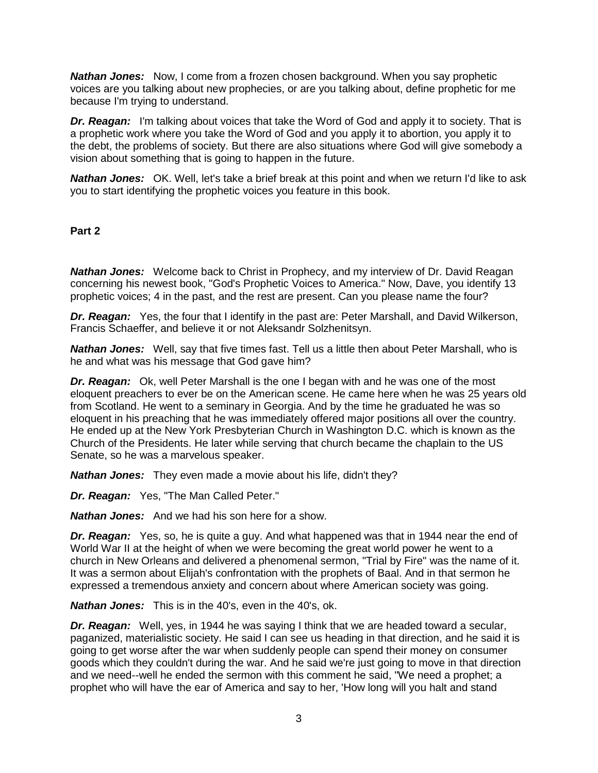**Nathan Jones:** Now, I come from a frozen chosen background. When you say prophetic voices are you talking about new prophecies, or are you talking about, define prophetic for me because I'm trying to understand.

*Dr. Reagan:* I'm talking about voices that take the Word of God and apply it to society. That is a prophetic work where you take the Word of God and you apply it to abortion, you apply it to the debt, the problems of society. But there are also situations where God will give somebody a vision about something that is going to happen in the future.

*Nathan Jones:* OK. Well, let's take a brief break at this point and when we return I'd like to ask you to start identifying the prophetic voices you feature in this book.

### **Part 2**

*Nathan Jones:* Welcome back to Christ in Prophecy, and my interview of Dr. David Reagan concerning his newest book, "God's Prophetic Voices to America." Now, Dave, you identify 13 prophetic voices; 4 in the past, and the rest are present. Can you please name the four?

*Dr. Reagan:* Yes, the four that I identify in the past are: Peter Marshall, and David Wilkerson, Francis Schaeffer, and believe it or not Aleksandr Solzhenitsyn.

*Nathan Jones:* Well, say that five times fast. Tell us a little then about Peter Marshall, who is he and what was his message that God gave him?

*Dr. Reagan:* Ok, well Peter Marshall is the one I began with and he was one of the most eloquent preachers to ever be on the American scene. He came here when he was 25 years old from Scotland. He went to a seminary in Georgia. And by the time he graduated he was so eloquent in his preaching that he was immediately offered major positions all over the country. He ended up at the New York Presbyterian Church in Washington D.C. which is known as the Church of the Presidents. He later while serving that church became the chaplain to the US Senate, so he was a marvelous speaker.

*Nathan Jones:* They even made a movie about his life, didn't they?

*Dr. Reagan:* Yes, "The Man Called Peter."

*Nathan Jones:* And we had his son here for a show.

*Dr. Reagan:* Yes, so, he is quite a guy. And what happened was that in 1944 near the end of World War II at the height of when we were becoming the great world power he went to a church in New Orleans and delivered a phenomenal sermon, "Trial by Fire" was the name of it. It was a sermon about Elijah's confrontation with the prophets of Baal. And in that sermon he expressed a tremendous anxiety and concern about where American society was going.

*Nathan Jones:* This is in the 40's, even in the 40's, ok.

*Dr. Reagan:* Well, yes, in 1944 he was saying I think that we are headed toward a secular, paganized, materialistic society. He said I can see us heading in that direction, and he said it is going to get worse after the war when suddenly people can spend their money on consumer goods which they couldn't during the war. And he said we're just going to move in that direction and we need--well he ended the sermon with this comment he said, "We need a prophet; a prophet who will have the ear of America and say to her, 'How long will you halt and stand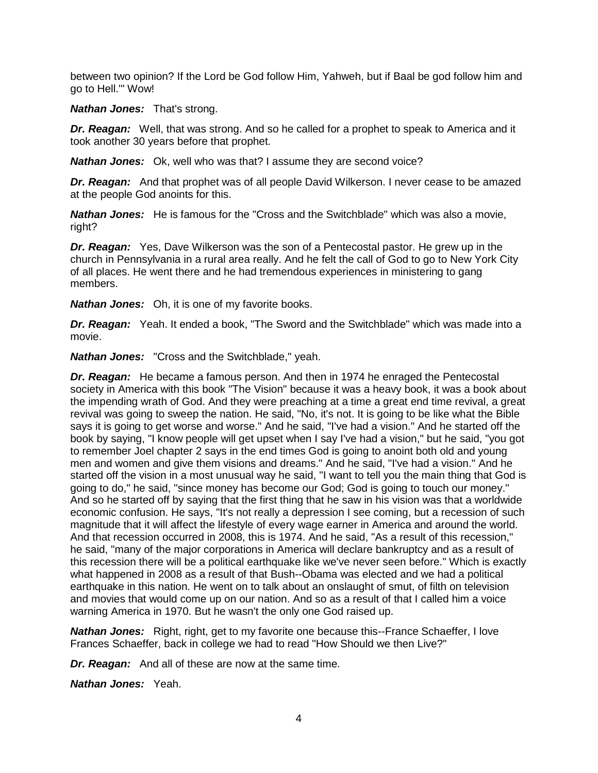between two opinion? If the Lord be God follow Him, Yahweh, but if Baal be god follow him and go to Hell.'" Wow!

*Nathan Jones:* That's strong.

*Dr. Reagan:* Well, that was strong. And so he called for a prophet to speak to America and it took another 30 years before that prophet.

*Nathan Jones:* Ok, well who was that? I assume they are second voice?

*Dr. Reagan:* And that prophet was of all people David Wilkerson. I never cease to be amazed at the people God anoints for this.

*Nathan Jones:* He is famous for the "Cross and the Switchblade" which was also a movie, right?

*Dr. Reagan:* Yes, Dave Wilkerson was the son of a Pentecostal pastor. He grew up in the church in Pennsylvania in a rural area really. And he felt the call of God to go to New York City of all places. He went there and he had tremendous experiences in ministering to gang members.

*Nathan Jones:* Oh, it is one of my favorite books.

*Dr. Reagan:* Yeah. It ended a book, "The Sword and the Switchblade" which was made into a movie.

*Nathan Jones:* "Cross and the Switchblade," yeah.

*Dr. Reagan:* He became a famous person. And then in 1974 he enraged the Pentecostal society in America with this book "The Vision" because it was a heavy book, it was a book about the impending wrath of God. And they were preaching at a time a great end time revival, a great revival was going to sweep the nation. He said, "No, it's not. It is going to be like what the Bible says it is going to get worse and worse." And he said, "I've had a vision." And he started off the book by saying, "I know people will get upset when I say I've had a vision," but he said, "you got to remember Joel chapter 2 says in the end times God is going to anoint both old and young men and women and give them visions and dreams." And he said, "I've had a vision." And he started off the vision in a most unusual way he said, "I want to tell you the main thing that God is going to do," he said, "since money has become our God; God is going to touch our money." And so he started off by saying that the first thing that he saw in his vision was that a worldwide economic confusion. He says, "It's not really a depression I see coming, but a recession of such magnitude that it will affect the lifestyle of every wage earner in America and around the world. And that recession occurred in 2008, this is 1974. And he said, "As a result of this recession," he said, "many of the major corporations in America will declare bankruptcy and as a result of this recession there will be a political earthquake like we've never seen before." Which is exactly what happened in 2008 as a result of that Bush--Obama was elected and we had a political earthquake in this nation. He went on to talk about an onslaught of smut, of filth on television and movies that would come up on our nation. And so as a result of that I called him a voice warning America in 1970. But he wasn't the only one God raised up.

**Nathan Jones:** Right, right, get to my favorite one because this--France Schaeffer, I love Frances Schaeffer, back in college we had to read "How Should we then Live?"

*Dr. Reagan:* And all of these are now at the same time.

*Nathan Jones:* Yeah.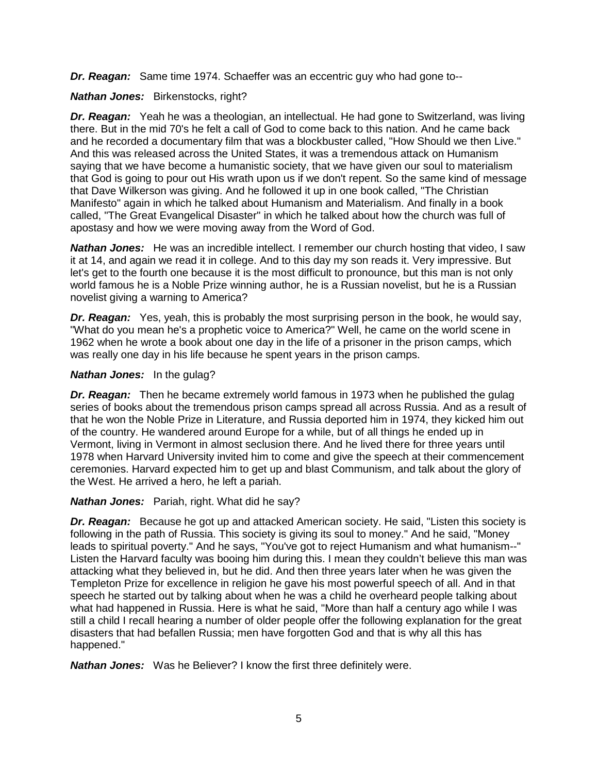*Dr. Reagan:* Same time 1974. Schaeffer was an eccentric guy who had gone to--

*Nathan Jones:* Birkenstocks, right?

*Dr. Reagan:* Yeah he was a theologian, an intellectual. He had gone to Switzerland, was living there. But in the mid 70's he felt a call of God to come back to this nation. And he came back and he recorded a documentary film that was a blockbuster called, "How Should we then Live." And this was released across the United States, it was a tremendous attack on Humanism saying that we have become a humanistic society, that we have given our soul to materialism that God is going to pour out His wrath upon us if we don't repent. So the same kind of message that Dave Wilkerson was giving. And he followed it up in one book called, "The Christian Manifesto" again in which he talked about Humanism and Materialism. And finally in a book called, "The Great Evangelical Disaster" in which he talked about how the church was full of apostasy and how we were moving away from the Word of God.

**Nathan Jones:** He was an incredible intellect. I remember our church hosting that video, I saw it at 14, and again we read it in college. And to this day my son reads it. Very impressive. But let's get to the fourth one because it is the most difficult to pronounce, but this man is not only world famous he is a Noble Prize winning author, he is a Russian novelist, but he is a Russian novelist giving a warning to America?

*Dr. Reagan:* Yes, yeah, this is probably the most surprising person in the book, he would say, "What do you mean he's a prophetic voice to America?" Well, he came on the world scene in 1962 when he wrote a book about one day in the life of a prisoner in the prison camps, which was really one day in his life because he spent years in the prison camps.

# *Nathan Jones:* In the gulag?

*Dr. Reagan:* Then he became extremely world famous in 1973 when he published the gulag series of books about the tremendous prison camps spread all across Russia. And as a result of that he won the Noble Prize in Literature, and Russia deported him in 1974, they kicked him out of the country. He wandered around Europe for a while, but of all things he ended up in Vermont, living in Vermont in almost seclusion there. And he lived there for three years until 1978 when Harvard University invited him to come and give the speech at their commencement ceremonies. Harvard expected him to get up and blast Communism, and talk about the glory of the West. He arrived a hero, he left a pariah.

*Nathan Jones:* Pariah, right. What did he say?

**Dr. Reagan:** Because he got up and attacked American society. He said, "Listen this society is following in the path of Russia. This society is giving its soul to money." And he said, "Money leads to spiritual poverty." And he says, "You've got to reject Humanism and what humanism--" Listen the Harvard faculty was booing him during this. I mean they couldn't believe this man was attacking what they believed in, but he did. And then three years later when he was given the Templeton Prize for excellence in religion he gave his most powerful speech of all. And in that speech he started out by talking about when he was a child he overheard people talking about what had happened in Russia. Here is what he said, "More than half a century ago while I was still a child I recall hearing a number of older people offer the following explanation for the great disasters that had befallen Russia; men have forgotten God and that is why all this has happened."

*Nathan Jones:* Was he Believer? I know the first three definitely were.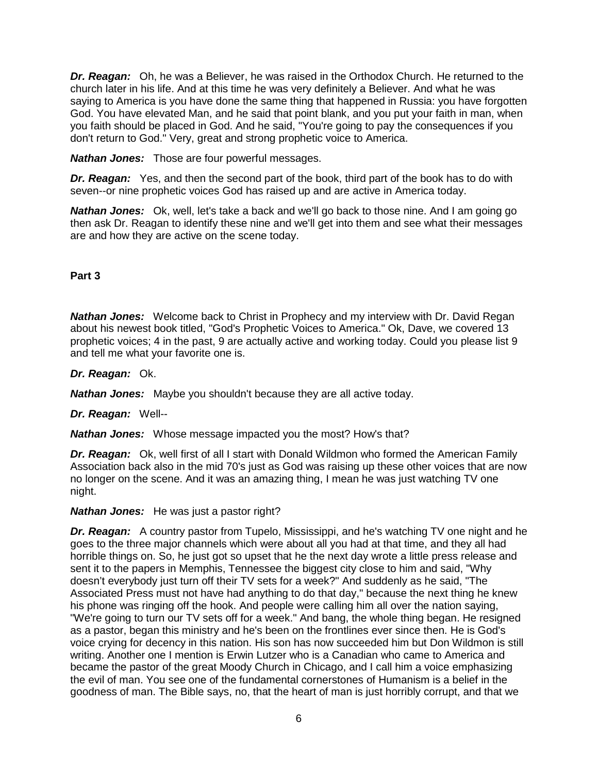*Dr. Reagan:* Oh, he was a Believer, he was raised in the Orthodox Church. He returned to the church later in his life. And at this time he was very definitely a Believer. And what he was saying to America is you have done the same thing that happened in Russia: you have forgotten God. You have elevated Man, and he said that point blank, and you put your faith in man, when you faith should be placed in God. And he said, "You're going to pay the consequences if you don't return to God." Very, great and strong prophetic voice to America.

*Nathan Jones:* Those are four powerful messages.

*Dr. Reagan:* Yes, and then the second part of the book, third part of the book has to do with seven--or nine prophetic voices God has raised up and are active in America today.

*Nathan Jones:* Ok, well, let's take a back and we'll go back to those nine. And I am going go then ask Dr. Reagan to identify these nine and we'll get into them and see what their messages are and how they are active on the scene today.

# **Part 3**

*Nathan Jones:* Welcome back to Christ in Prophecy and my interview with Dr. David Regan about his newest book titled, "God's Prophetic Voices to America." Ok, Dave, we covered 13 prophetic voices; 4 in the past, 9 are actually active and working today. Could you please list 9 and tell me what your favorite one is.

*Dr. Reagan:* Ok.

*Nathan Jones:* Maybe you shouldn't because they are all active today.

*Dr. Reagan:* Well--

*Nathan Jones:* Whose message impacted you the most? How's that?

*Dr. Reagan:* Ok, well first of all I start with Donald Wildmon who formed the American Family Association back also in the mid 70's just as God was raising up these other voices that are now no longer on the scene. And it was an amazing thing, I mean he was just watching TV one night.

### *Nathan Jones:* He was just a pastor right?

**Dr. Reagan:** A country pastor from Tupelo, Mississippi, and he's watching TV one night and he goes to the three major channels which were about all you had at that time, and they all had horrible things on. So, he just got so upset that he the next day wrote a little press release and sent it to the papers in Memphis, Tennessee the biggest city close to him and said, "Why doesn't everybody just turn off their TV sets for a week?" And suddenly as he said, "The Associated Press must not have had anything to do that day," because the next thing he knew his phone was ringing off the hook. And people were calling him all over the nation saying, "We're going to turn our TV sets off for a week." And bang, the whole thing began. He resigned as a pastor, began this ministry and he's been on the frontlines ever since then. He is God's voice crying for decency in this nation. His son has now succeeded him but Don Wildmon is still writing. Another one I mention is Erwin Lutzer who is a Canadian who came to America and became the pastor of the great Moody Church in Chicago, and I call him a voice emphasizing the evil of man. You see one of the fundamental cornerstones of Humanism is a belief in the goodness of man. The Bible says, no, that the heart of man is just horribly corrupt, and that we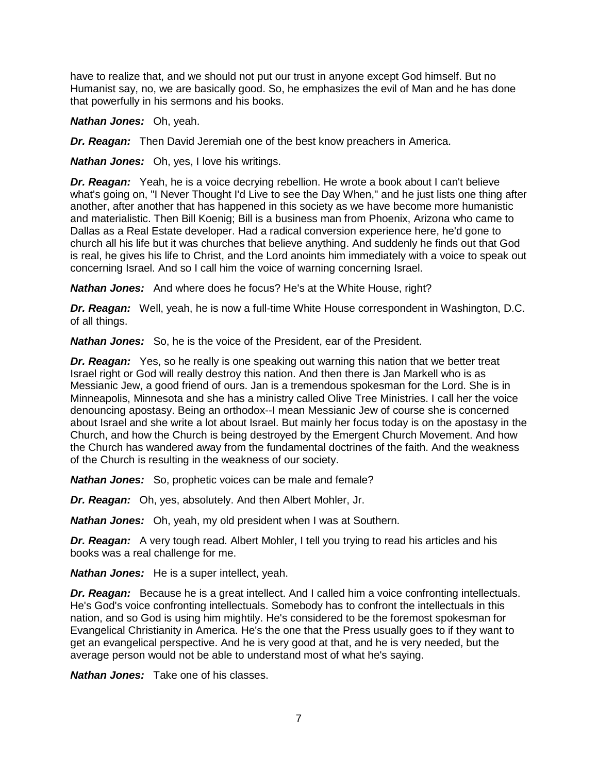have to realize that, and we should not put our trust in anyone except God himself. But no Humanist say, no, we are basically good. So, he emphasizes the evil of Man and he has done that powerfully in his sermons and his books.

*Nathan Jones:* Oh, yeah.

*Dr. Reagan:* Then David Jeremiah one of the best know preachers in America.

*Nathan Jones:* Oh, yes, I love his writings.

*Dr. Reagan:* Yeah, he is a voice decrying rebellion. He wrote a book about I can't believe what's going on, "I Never Thought I'd Live to see the Day When," and he just lists one thing after another, after another that has happened in this society as we have become more humanistic and materialistic. Then Bill Koenig; Bill is a business man from Phoenix, Arizona who came to Dallas as a Real Estate developer. Had a radical conversion experience here, he'd gone to church all his life but it was churches that believe anything. And suddenly he finds out that God is real, he gives his life to Christ, and the Lord anoints him immediately with a voice to speak out concerning Israel. And so I call him the voice of warning concerning Israel.

*Nathan Jones:* And where does he focus? He's at the White House, right?

*Dr. Reagan:* Well, yeah, he is now a full-time White House correspondent in Washington, D.C. of all things.

*Nathan Jones:* So, he is the voice of the President, ear of the President.

**Dr. Reagan:** Yes, so he really is one speaking out warning this nation that we better treat Israel right or God will really destroy this nation. And then there is Jan Markell who is as Messianic Jew, a good friend of ours. Jan is a tremendous spokesman for the Lord. She is in Minneapolis, Minnesota and she has a ministry called Olive Tree Ministries. I call her the voice denouncing apostasy. Being an orthodox--I mean Messianic Jew of course she is concerned about Israel and she write a lot about Israel. But mainly her focus today is on the apostasy in the Church, and how the Church is being destroyed by the Emergent Church Movement. And how the Church has wandered away from the fundamental doctrines of the faith. And the weakness of the Church is resulting in the weakness of our society.

*Nathan Jones:* So, prophetic voices can be male and female?

*Dr. Reagan:* Oh, yes, absolutely. And then Albert Mohler, Jr.

*Nathan Jones:* Oh, yeah, my old president when I was at Southern.

**Dr. Reagan:** A very tough read. Albert Mohler, I tell you trying to read his articles and his books was a real challenge for me.

*Nathan Jones:* He is a super intellect, yeah.

*Dr. Reagan:* Because he is a great intellect. And I called him a voice confronting intellectuals. He's God's voice confronting intellectuals. Somebody has to confront the intellectuals in this nation, and so God is using him mightily. He's considered to be the foremost spokesman for Evangelical Christianity in America. He's the one that the Press usually goes to if they want to get an evangelical perspective. And he is very good at that, and he is very needed, but the average person would not be able to understand most of what he's saying.

*Nathan Jones:* Take one of his classes.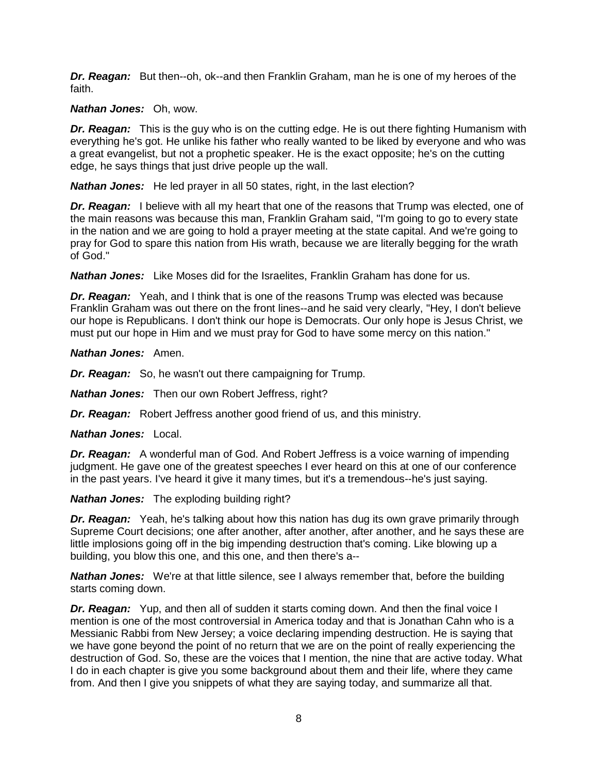*Dr. Reagan:* But then--oh, ok--and then Franklin Graham, man he is one of my heroes of the faith.

### *Nathan Jones:* Oh, wow.

**Dr. Reagan:** This is the guy who is on the cutting edge. He is out there fighting Humanism with everything he's got. He unlike his father who really wanted to be liked by everyone and who was a great evangelist, but not a prophetic speaker. He is the exact opposite; he's on the cutting edge, he says things that just drive people up the wall.

*Nathan Jones:* He led prayer in all 50 states, right, in the last election?

*Dr. Reagan:* I believe with all my heart that one of the reasons that Trump was elected, one of the main reasons was because this man, Franklin Graham said, "I'm going to go to every state in the nation and we are going to hold a prayer meeting at the state capital. And we're going to pray for God to spare this nation from His wrath, because we are literally begging for the wrath of God."

*Nathan Jones:* Like Moses did for the Israelites, Franklin Graham has done for us.

*Dr. Reagan:* Yeah, and I think that is one of the reasons Trump was elected was because Franklin Graham was out there on the front lines--and he said very clearly, "Hey, I don't believe our hope is Republicans. I don't think our hope is Democrats. Our only hope is Jesus Christ, we must put our hope in Him and we must pray for God to have some mercy on this nation."

*Nathan Jones:* Amen.

*Dr. Reagan:* So, he wasn't out there campaigning for Trump.

*Nathan Jones:* Then our own Robert Jeffress, right?

*Dr. Reagan:* Robert Jeffress another good friend of us, and this ministry.

*Nathan Jones:* Local.

*Dr. Reagan:* A wonderful man of God. And Robert Jeffress is a voice warning of impending judgment. He gave one of the greatest speeches I ever heard on this at one of our conference in the past years. I've heard it give it many times, but it's a tremendous--he's just saying.

*Nathan Jones:* The exploding building right?

**Dr. Reagan:** Yeah, he's talking about how this nation has dug its own grave primarily through Supreme Court decisions; one after another, after another, after another, and he says these are little implosions going off in the big impending destruction that's coming. Like blowing up a building, you blow this one, and this one, and then there's a--

**Nathan Jones:** We're at that little silence, see I always remember that, before the building starts coming down.

**Dr. Reagan:** Yup, and then all of sudden it starts coming down. And then the final voice I mention is one of the most controversial in America today and that is Jonathan Cahn who is a Messianic Rabbi from New Jersey; a voice declaring impending destruction. He is saying that we have gone beyond the point of no return that we are on the point of really experiencing the destruction of God. So, these are the voices that I mention, the nine that are active today. What I do in each chapter is give you some background about them and their life, where they came from. And then I give you snippets of what they are saying today, and summarize all that.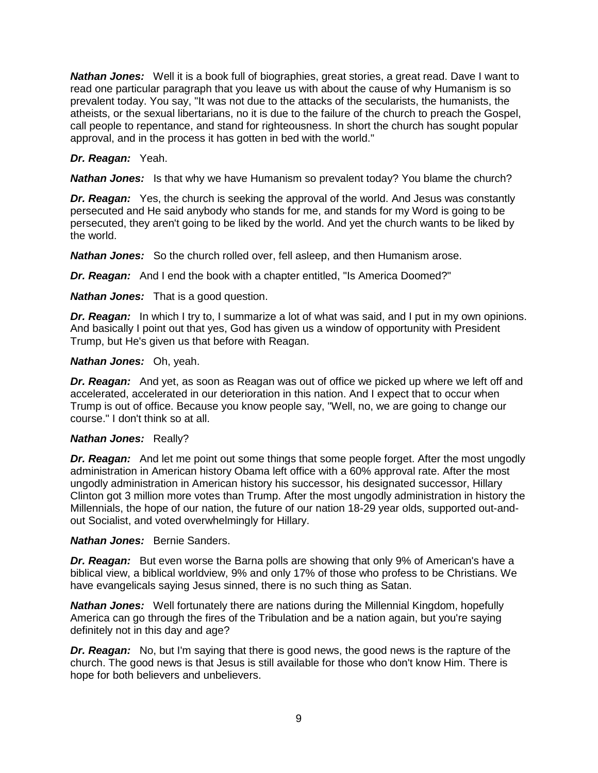*Nathan Jones:* Well it is a book full of biographies, great stories, a great read. Dave I want to read one particular paragraph that you leave us with about the cause of why Humanism is so prevalent today. You say, "It was not due to the attacks of the secularists, the humanists, the atheists, or the sexual libertarians, no it is due to the failure of the church to preach the Gospel, call people to repentance, and stand for righteousness. In short the church has sought popular approval, and in the process it has gotten in bed with the world."

### *Dr. Reagan:* Yeah.

*Nathan Jones:* Is that why we have Humanism so prevalent today? You blame the church?

*Dr. Reagan:* Yes, the church is seeking the approval of the world. And Jesus was constantly persecuted and He said anybody who stands for me, and stands for my Word is going to be persecuted, they aren't going to be liked by the world. And yet the church wants to be liked by the world.

*Nathan Jones:* So the church rolled over, fell asleep, and then Humanism arose.

*Dr. Reagan:* And I end the book with a chapter entitled, "Is America Doomed?"

*Nathan Jones:* That is a good question.

*Dr. Reagan:* In which I try to, I summarize a lot of what was said, and I put in my own opinions. And basically I point out that yes, God has given us a window of opportunity with President Trump, but He's given us that before with Reagan.

#### *Nathan Jones:* Oh, yeah.

*Dr. Reagan:* And yet, as soon as Reagan was out of office we picked up where we left off and accelerated, accelerated in our deterioration in this nation. And I expect that to occur when Trump is out of office. Because you know people say, "Well, no, we are going to change our course." I don't think so at all.

#### *Nathan Jones:* Really?

*Dr. Reagan:* And let me point out some things that some people forget. After the most ungodly administration in American history Obama left office with a 60% approval rate. After the most ungodly administration in American history his successor, his designated successor, Hillary Clinton got 3 million more votes than Trump. After the most ungodly administration in history the Millennials, the hope of our nation, the future of our nation 18-29 year olds, supported out-andout Socialist, and voted overwhelmingly for Hillary.

#### *Nathan Jones:* Bernie Sanders.

*Dr. Reagan:* But even worse the Barna polls are showing that only 9% of American's have a biblical view, a biblical worldview, 9% and only 17% of those who profess to be Christians. We have evangelicals saying Jesus sinned, there is no such thing as Satan.

**Nathan Jones:** Well fortunately there are nations during the Millennial Kingdom, hopefully America can go through the fires of the Tribulation and be a nation again, but you're saying definitely not in this day and age?

*Dr. Reagan:* No, but I'm saying that there is good news, the good news is the rapture of the church. The good news is that Jesus is still available for those who don't know Him. There is hope for both believers and unbelievers.